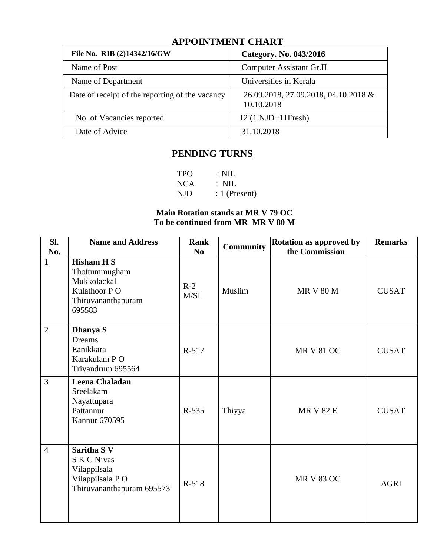## **APPOINTMENT CHART**

| File No. RIB (2)14342/16/GW                     | Category. No. 043/2016                             |  |  |  |  |  |
|-------------------------------------------------|----------------------------------------------------|--|--|--|--|--|
| Name of Post                                    | <b>Computer Assistant Gr.II</b>                    |  |  |  |  |  |
| Name of Department                              | Universities in Kerala                             |  |  |  |  |  |
| Date of receipt of the reporting of the vacancy | 26.09.2018, 27.09.2018, 04.10.2018 &<br>10.10.2018 |  |  |  |  |  |
| No. of Vacancies reported                       | 12 (1 NJD+11Fresh)                                 |  |  |  |  |  |
| Date of Advice                                  | 31.10.2018                                         |  |  |  |  |  |

## **PENDING TURNS**

TPO : NIL<br>NCA : NIL :  $NIL$ NJD : 1 (Present)

### **Main Rotation stands at MR V 79 OC To be continued from MR MR V 80 M**

| SI.<br>No.     | <b>Name and Address</b>                                                                                  | <b>Rank</b><br>N <sub>0</sub> | <b>Community</b> | <b>Rotation as approved by</b><br>the Commission | <b>Remarks</b> |
|----------------|----------------------------------------------------------------------------------------------------------|-------------------------------|------------------|--------------------------------------------------|----------------|
| $\mathbf{1}$   | <b>Hisham H S</b><br>Thottummugham<br>Mukkolackal<br>Kulathoor PO<br>Thiruvananthapuram<br>695583        | $R-2$<br>M/SL                 | Muslim           | <b>MR V 80 M</b>                                 | <b>CUSAT</b>   |
| $\overline{2}$ | <b>Dhanya S</b><br><b>Dreams</b><br>Eanikkara<br>Karakulam P O<br>Trivandrum 695564                      | R-517                         |                  | <b>MR V 81 OC</b>                                | <b>CUSAT</b>   |
| $\overline{3}$ | Leena Chaladan<br>Sreelakam<br>Nayattupara<br>Pattannur<br><b>Kannur 670595</b>                          | R-535                         | Thiyya           | <b>MR V 82 E</b>                                 | <b>CUSAT</b>   |
| $\overline{4}$ | <b>Saritha S V</b><br><b>S K C Nivas</b><br>Vilappilsala<br>Vilappilsala PO<br>Thiruvananthapuram 695573 | R-518                         |                  | <b>MR V 83 OC</b>                                | <b>AGRI</b>    |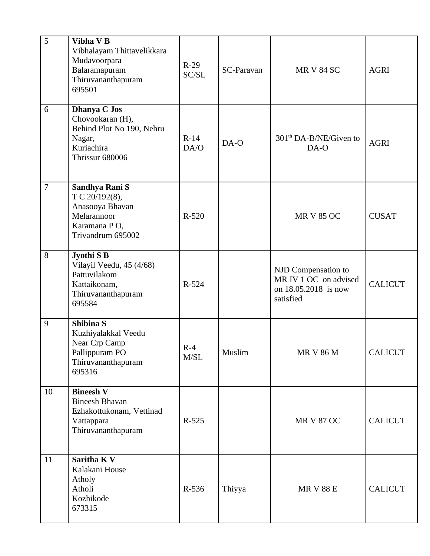| 5              | Vibha V B<br>Vibhalayam Thittavelikkara<br>Mudavoorpara<br>Balaramapuram<br>Thiruvananthapuram<br>695501        | $R-29$<br>SC/SL | <b>SC-Paravan</b> | <b>MR V 84 SC</b>                                                                 | <b>AGRI</b>    |
|----------------|-----------------------------------------------------------------------------------------------------------------|-----------------|-------------------|-----------------------------------------------------------------------------------|----------------|
| 6              | <b>Dhanya C Jos</b><br>Chovookaran (H),<br>Behind Plot No 190, Nehru<br>Nagar,<br>Kuriachira<br>Thrissur 680006 | $R-14$<br>DA/O  | DA-O              | 301 <sup>th</sup> DA-B/NE/Given to<br>DA-O                                        | <b>AGRI</b>    |
| $\overline{7}$ | Sandhya Rani S<br>T C 20/192(8),<br>Anasooya Bhavan<br>Melarannoor<br>Karamana PO,<br>Trivandrum 695002         | $R-520$         |                   | <b>MR V 85 OC</b>                                                                 | <b>CUSAT</b>   |
| 8              | Jyothi S B<br>Vilayil Veedu, 45 (4/68)<br>Pattuvilakom<br>Kattaikonam,<br>Thiruvananthapuram<br>695584          | R-524           |                   | NJD Compensation to<br>MR IV 1 OC on advised<br>on 18.05.2018 is now<br>satisfied | <b>CALICUT</b> |
| 9              | <b>Shibina S</b><br>Kuzhiyalakkal Veedu<br>Near Crp Camp<br>Pallippuram PO<br>Thiruvananthapuram<br>695316      | $R-4$<br>M/SL   | Muslim            | <b>MR V 86 M</b>                                                                  | <b>CALICUT</b> |
| 10             | <b>Bineesh V</b><br><b>Bineesh Bhavan</b><br>Ezhakottukonam, Vettinad<br>Vattappara<br>Thiruvananthapuram       | R-525           |                   | <b>MR V 87 OC</b>                                                                 | <b>CALICUT</b> |
| 11             | Saritha K V<br>Kalakani House<br>Atholy<br>Atholi<br>Kozhikode<br>673315                                        | R-536           | Thiyya            | <b>MR V 88 E</b>                                                                  | <b>CALICUT</b> |